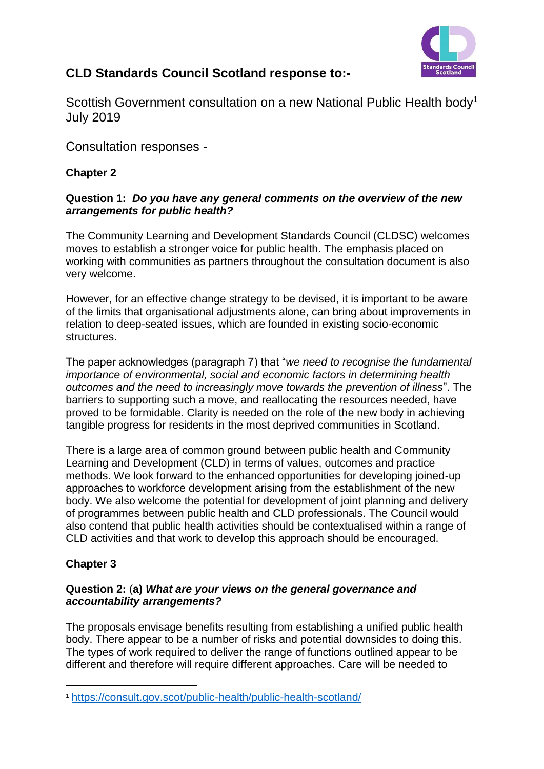

## **CLD Standards Council Scotland response to:-**

Scottish Government consultation on a new National Public Health body<sup>1</sup> July 2019

Consultation responses -

## **Chapter 2**

## **Question 1:** *Do you have any general comments on the overview of the new arrangements for public health?*

The Community Learning and Development Standards Council (CLDSC) welcomes moves to establish a stronger voice for public health. The emphasis placed on working with communities as partners throughout the consultation document is also very welcome.

However, for an effective change strategy to be devised, it is important to be aware of the limits that organisational adjustments alone, can bring about improvements in relation to deep-seated issues, which are founded in existing socio-economic structures.

The paper acknowledges (paragraph 7) that "*we need to recognise the fundamental importance of environmental, social and economic factors in determining health outcomes and the need to increasingly move towards the prevention of illness*". The barriers to supporting such a move, and reallocating the resources needed, have proved to be formidable. Clarity is needed on the role of the new body in achieving tangible progress for residents in the most deprived communities in Scotland.

There is a large area of common ground between public health and Community Learning and Development (CLD) in terms of values, outcomes and practice methods. We look forward to the enhanced opportunities for developing joined-up approaches to workforce development arising from the establishment of the new body. We also welcome the potential for development of joint planning and delivery of programmes between public health and CLD professionals. The Council would also contend that public health activities should be contextualised within a range of CLD activities and that work to develop this approach should be encouraged.

## **Chapter 3**

1

## **Question 2:** (**a)** *What are your views on the general governance and accountability arrangements?*

The proposals envisage benefits resulting from establishing a unified public health body. There appear to be a number of risks and potential downsides to doing this. The types of work required to deliver the range of functions outlined appear to be different and therefore will require different approaches. Care will be needed to

<sup>1</sup> <https://consult.gov.scot/public-health/public-health-scotland/>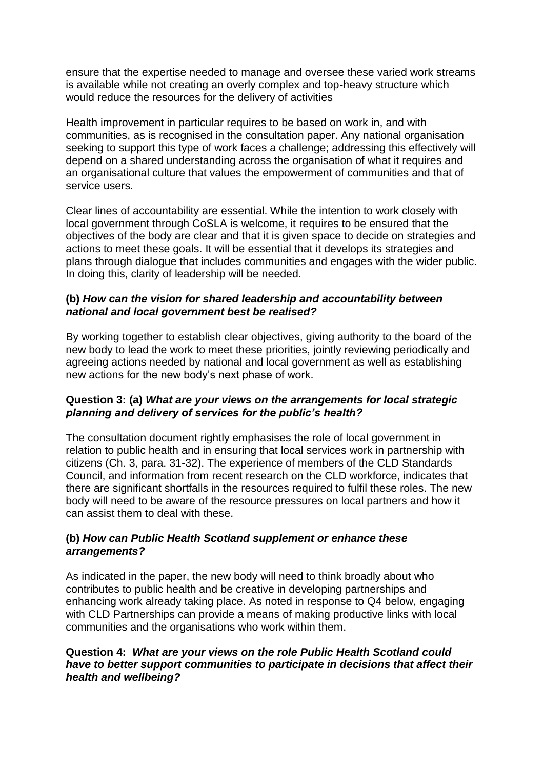ensure that the expertise needed to manage and oversee these varied work streams is available while not creating an overly complex and top-heavy structure which would reduce the resources for the delivery of activities

Health improvement in particular requires to be based on work in, and with communities, as is recognised in the consultation paper. Any national organisation seeking to support this type of work faces a challenge; addressing this effectively will depend on a shared understanding across the organisation of what it requires and an organisational culture that values the empowerment of communities and that of service users.

Clear lines of accountability are essential. While the intention to work closely with local government through CoSLA is welcome, it requires to be ensured that the objectives of the body are clear and that it is given space to decide on strategies and actions to meet these goals. It will be essential that it develops its strategies and plans through dialogue that includes communities and engages with the wider public. In doing this, clarity of leadership will be needed.

## **(b)** *How can the vision for shared leadership and accountability between national and local government best be realised?*

By working together to establish clear objectives, giving authority to the board of the new body to lead the work to meet these priorities, jointly reviewing periodically and agreeing actions needed by national and local government as well as establishing new actions for the new body's next phase of work.

## **Question 3: (a)** *What are your views on the arrangements for local strategic planning and delivery of services for the public's health?*

The consultation document rightly emphasises the role of local government in relation to public health and in ensuring that local services work in partnership with citizens (Ch. 3, para. 31-32). The experience of members of the CLD Standards Council, and information from recent research on the CLD workforce, indicates that there are significant shortfalls in the resources required to fulfil these roles. The new body will need to be aware of the resource pressures on local partners and how it can assist them to deal with these.

## **(b)** *How can Public Health Scotland supplement or enhance these arrangements?*

As indicated in the paper, the new body will need to think broadly about who contributes to public health and be creative in developing partnerships and enhancing work already taking place. As noted in response to Q4 below, engaging with CLD Partnerships can provide a means of making productive links with local communities and the organisations who work within them.

## **Question 4:** *What are your views on the role Public Health Scotland could have to better support communities to participate in decisions that affect their health and wellbeing?*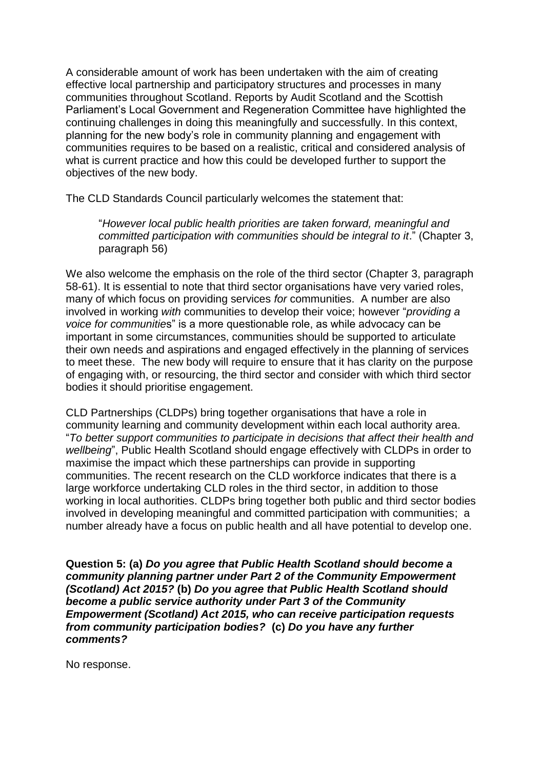A considerable amount of work has been undertaken with the aim of creating effective local partnership and participatory structures and processes in many communities throughout Scotland. Reports by Audit Scotland and the Scottish Parliament's Local Government and Regeneration Committee have highlighted the continuing challenges in doing this meaningfully and successfully. In this context, planning for the new body's role in community planning and engagement with communities requires to be based on a realistic, critical and considered analysis of what is current practice and how this could be developed further to support the objectives of the new body.

The CLD Standards Council particularly welcomes the statement that:

"*However local public health priorities are taken forward, meaningful and committed participation with communities should be integral to it*." (Chapter 3, paragraph 56)

We also welcome the emphasis on the role of the third sector (Chapter 3, paragraph 58-61). It is essential to note that third sector organisations have very varied roles, many of which focus on providing services *for* communities. A number are also involved in working *with* communities to develop their voice; however "*providing a voice for communitie*s" is a more questionable role, as while advocacy can be important in some circumstances, communities should be supported to articulate their own needs and aspirations and engaged effectively in the planning of services to meet these. The new body will require to ensure that it has clarity on the purpose of engaging with, or resourcing, the third sector and consider with which third sector bodies it should prioritise engagement.

CLD Partnerships (CLDPs) bring together organisations that have a role in community learning and community development within each local authority area. "*To better support communities to participate in decisions that affect their health and wellbeing*", Public Health Scotland should engage effectively with CLDPs in order to maximise the impact which these partnerships can provide in supporting communities. The recent research on the CLD workforce indicates that there is a large workforce undertaking CLD roles in the third sector, in addition to those working in local authorities. CLDPs bring together both public and third sector bodies involved in developing meaningful and committed participation with communities; a number already have a focus on public health and all have potential to develop one.

**Question 5: (a)** *Do you agree that Public Health Scotland should become a community planning partner under Part 2 of the Community Empowerment (Scotland) Act 2015?* **(b)** *Do you agree that Public Health Scotland should become a public service authority under Part 3 of the Community Empowerment (Scotland) Act 2015, who can receive participation requests from community participation bodies?* **(c)** *Do you have any further comments?*

No response.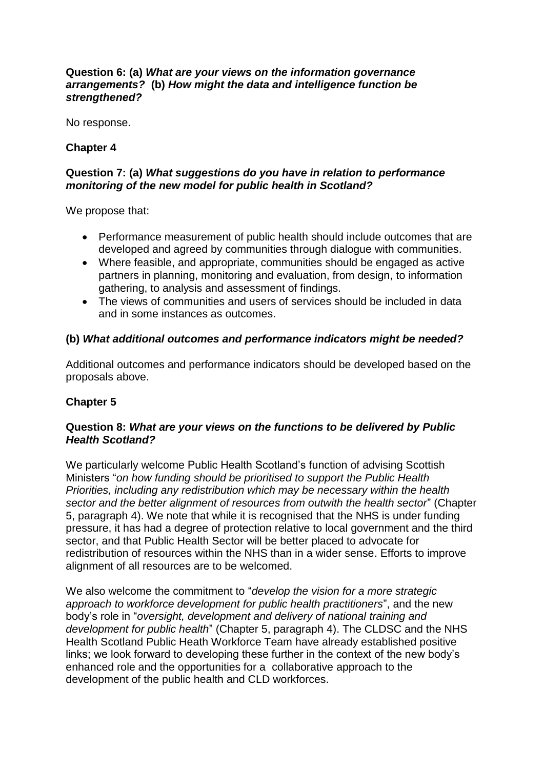#### **Question 6: (a)** *What are your views on the information governance arrangements?* **(b)** *How might the data and intelligence function be strengthened?*

No response.

## **Chapter 4**

## **Question 7: (a)** *What suggestions do you have in relation to performance monitoring of the new model for public health in Scotland?*

We propose that:

- Performance measurement of public health should include outcomes that are developed and agreed by communities through dialogue with communities.
- Where feasible, and appropriate, communities should be engaged as active partners in planning, monitoring and evaluation, from design, to information gathering, to analysis and assessment of findings.
- The views of communities and users of services should be included in data and in some instances as outcomes.

## **(b)** *What additional outcomes and performance indicators might be needed?*

Additional outcomes and performance indicators should be developed based on the proposals above.

## **Chapter 5**

## **Question 8:** *What are your views on the functions to be delivered by Public Health Scotland?*

We particularly welcome Public Health Scotland's function of advising Scottish Ministers "*on how funding should be prioritised to support the Public Health Priorities, including any redistribution which may be necessary within the health sector and the better alignment of resources from outwith the health sector*" (Chapter 5, paragraph 4). We note that while it is recognised that the NHS is under funding pressure, it has had a degree of protection relative to local government and the third sector, and that Public Health Sector will be better placed to advocate for redistribution of resources within the NHS than in a wider sense. Efforts to improve alignment of all resources are to be welcomed.

We also welcome the commitment to "*develop the vision for a more strategic approach to workforce development for public health practitioners*", and the new body's role in "*oversight, development and delivery of national training and development for public health*" (Chapter 5, paragraph 4). The CLDSC and the NHS Health Scotland Public Heath Workforce Team have already established positive links; we look forward to developing these further in the context of the new body's enhanced role and the opportunities for a collaborative approach to the development of the public health and CLD workforces.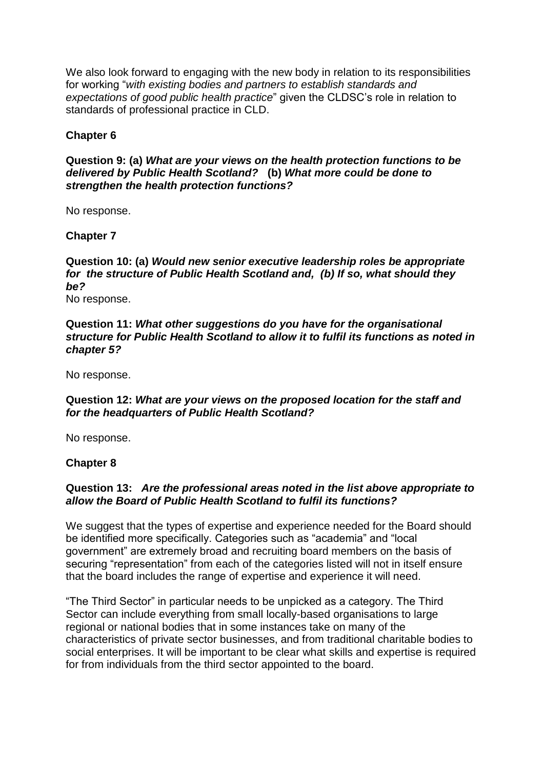We also look forward to engaging with the new body in relation to its responsibilities for working "*with existing bodies and partners to establish standards and expectations of good public health practice*" given the CLDSC's role in relation to standards of professional practice in CLD.

## **Chapter 6**

## **Question 9: (a)** *What are your views on the health protection functions to be delivered by Public Health Scotland?* **(b)** *What more could be done to strengthen the health protection functions?*

No response.

## **Chapter 7**

**Question 10: (a)** *Would new senior executive leadership roles be appropriate for the structure of Public Health Scotland and, (b) If so, what should they be?* 

No response.

**Question 11:** *What other suggestions do you have for the organisational structure for Public Health Scotland to allow it to fulfil its functions as noted in chapter 5?* 

No response.

**Question 12:** *What are your views on the proposed location for the staff and for the headquarters of Public Health Scotland?* 

No response.

#### **Chapter 8**

## **Question 13:** *Are the professional areas noted in the list above appropriate to allow the Board of Public Health Scotland to fulfil its functions?*

We suggest that the types of expertise and experience needed for the Board should be identified more specifically. Categories such as "academia" and "local government" are extremely broad and recruiting board members on the basis of securing "representation" from each of the categories listed will not in itself ensure that the board includes the range of expertise and experience it will need.

"The Third Sector" in particular needs to be unpicked as a category. The Third Sector can include everything from small locally-based organisations to large regional or national bodies that in some instances take on many of the characteristics of private sector businesses, and from traditional charitable bodies to social enterprises. It will be important to be clear what skills and expertise is required for from individuals from the third sector appointed to the board.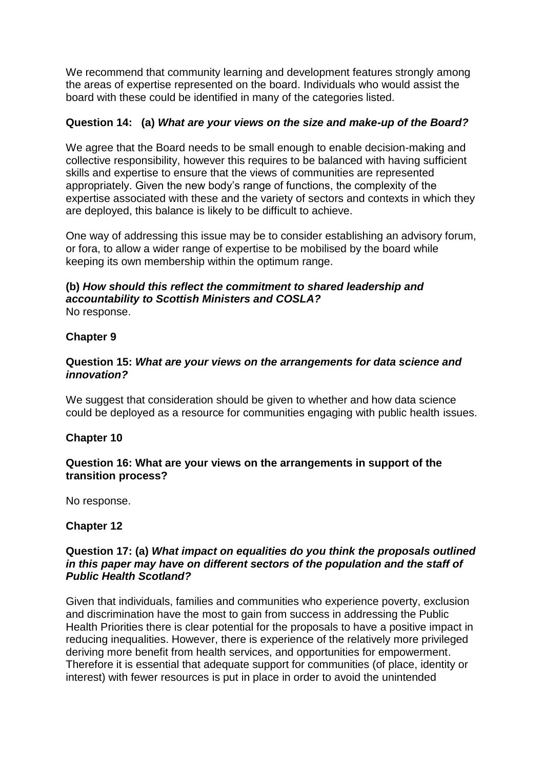We recommend that community learning and development features strongly among the areas of expertise represented on the board. Individuals who would assist the board with these could be identified in many of the categories listed.

## **Question 14: (a)** *What are your views on the size and make-up of the Board?*

We agree that the Board needs to be small enough to enable decision-making and collective responsibility, however this requires to be balanced with having sufficient skills and expertise to ensure that the views of communities are represented appropriately. Given the new body's range of functions, the complexity of the expertise associated with these and the variety of sectors and contexts in which they are deployed, this balance is likely to be difficult to achieve.

One way of addressing this issue may be to consider establishing an advisory forum, or fora, to allow a wider range of expertise to be mobilised by the board while keeping its own membership within the optimum range.

# **(b)** *How should this reflect the commitment to shared leadership and accountability to Scottish Ministers and COSLA?*

No response.

## **Chapter 9**

#### **Question 15:** *What are your views on the arrangements for data science and innovation?*

We suggest that consideration should be given to whether and how data science could be deployed as a resource for communities engaging with public health issues.

#### **Chapter 10**

#### **Question 16: What are your views on the arrangements in support of the transition process?**

No response.

#### **Chapter 12**

#### **Question 17: (a)** *What impact on equalities do you think the proposals outlined in this paper may have on different sectors of the population and the staff of Public Health Scotland?*

Given that individuals, families and communities who experience poverty, exclusion and discrimination have the most to gain from success in addressing the Public Health Priorities there is clear potential for the proposals to have a positive impact in reducing inequalities. However, there is experience of the relatively more privileged deriving more benefit from health services, and opportunities for empowerment. Therefore it is essential that adequate support for communities (of place, identity or interest) with fewer resources is put in place in order to avoid the unintended